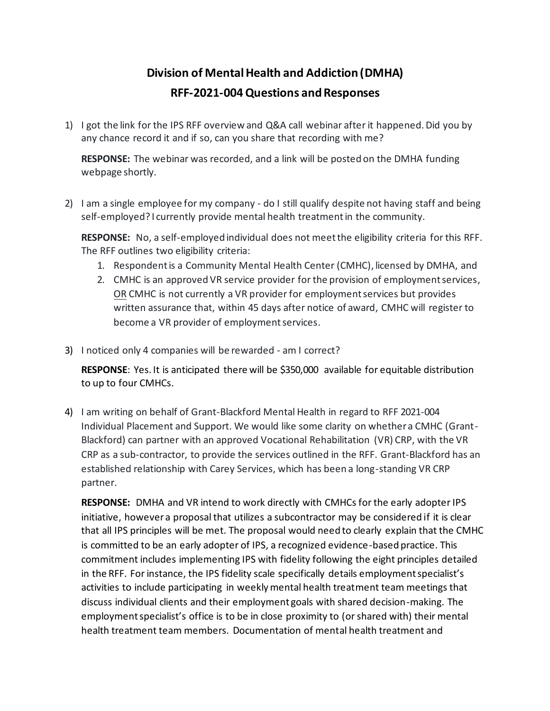## **Division of Mental Health and Addiction (DMHA) RFF-2021-004 Questions and Responses**

1) I got the link for the IPS RFF overview and Q&A call webinar after it happened. Did you by any chance record it and if so, can you share that recording with me?

**RESPONSE:** The webinar was recorded, and a link will be posted on the DMHA funding webpage shortly.

2) I am a single employee for my company - do I still qualify despite not having staff and being self-employed? I currently provide mental health treatment in the community.

**RESPONSE:** No, a self-employed individual does not meet the eligibility criteria for this RFF. The RFF outlines two eligibility criteria:

- 1. Respondent is a Community Mental Health Center (CMHC), licensed by DMHA, and
- 2. CMHC is an approved VR service provider for the provision of employment services, OR CMHC is not currently a VR provider for employment services but provides written assurance that, within 45 days after notice of award, CMHC will register to become a VR provider of employment services.
- 3) I noticed only 4 companies will be rewarded am I correct?

**RESPONSE**: Yes. It is anticipated there will be \$350,000 available for equitable distribution to up to four CMHCs.

4) I am writing on behalf of Grant-Blackford Mental Health in regard to RFF 2021-004 Individual Placement and Support. We would like some clarity on whether a CMHC (Grant-Blackford) can partner with an approved Vocational Rehabilitation (VR) CRP, with the VR CRP as a sub-contractor, to provide the services outlined in the RFF. Grant-Blackford has an established relationship with Carey Services, which has been a long-standing VR CRP partner.

**RESPONSE:** DMHA and VR intend to work directly with CMHCs for the early adopter IPS initiative, however a proposal that utilizes a subcontractor may be considered if it is clear that all IPS principles will be met. The proposal would need to clearly explain that the CMHC is committed to be an early adopter of IPS, a recognized evidence-based practice. This commitment includes implementing IPS with fidelity following the eight principles detailed in the RFF. For instance, the IPS fidelity scale specifically details employment specialist's activities to include participating in weekly mental health treatment team meetings that discuss individual clients and their employment goals with shared decision-making. The employment specialist's office is to be in close proximity to (or shared with) their mental health treatment team members. Documentation of mental health treatment and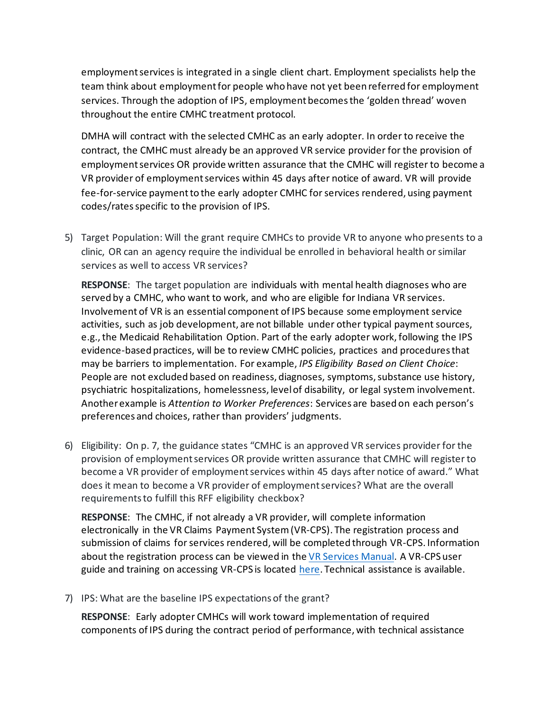employment services is integrated in a single client chart. Employment specialists help the team think about employment for people who have not yet been referred for employment services. Through the adoption of IPS, employment becomes the 'golden thread' woven throughout the entire CMHC treatment protocol.

DMHA will contract with the selected CMHC as an early adopter. In order to receive the contract, the CMHC must already be an approved VR service provider for the provision of employment services OR provide written assurance that the CMHC will register to become a VR provider of employment services within 45 days after notice of award. VR will provide fee-for-service payment to the early adopter CMHC for services rendered, using payment codes/ratesspecific to the provision of IPS.

5) Target Population: Will the grant require CMHCs to provide VR to anyone who presents to a clinic, OR can an agency require the individual be enrolled in behavioral health or similar services as well to access VR services?

**RESPONSE**: The target population are individuals with mental health diagnoses who are served by a CMHC, who want to work, and who are eligible for Indiana VR services. Involvement of VR is an essential component of IPS because some employment service activities, such as job development, are not billable under other typical payment sources, e.g., the Medicaid Rehabilitation Option. Part of the early adopter work, following the IPS evidence-based practices, will be to review CMHC policies, practices and procedures that may be barriers to implementation. For example, *IPS Eligibility Based on Client Choice*: People are not excluded based on readiness, diagnoses, symptoms, substance use history, psychiatric hospitalizations, homelessness, level of disability, or legal system involvement. Another example is *Attention to Worker Preferences*: Services are based on each person's preferences and choices, rather than providers' judgments.

6) Eligibility: On p. 7, the guidance states "CMHC is an approved VR services provider for the provision of employment services OR provide written assurance that CMHC will register to become a VR provider of employment services within 45 days after notice of award." What does it mean to become a VR provider of employment services? What are the overall requirements to fulfill this RFF eligibility checkbox?

**RESPONSE**: The CMHC, if not already a VR provider, will complete information electronically in the VR Claims Payment System (VR-CPS). The registration process and submission of claims for services rendered, will be completed through VR-CPS. Information about the registration process can be viewed in th[e VR Services Manual.](https://www.in.gov/fssa/ddrs/files/VR-Services-Manual-Version-4.0.pdf) A VR-CPS user guide and training on accessing VR-CPS is located [here.](https://www.in.gov/fssa/ddrs/rehabilitation-employment/vocational-rehabilitation-employment/vr-vendor-information/) Technical assistance is available.

7) IPS: What are the baseline IPS expectations of the grant?

**RESPONSE**: Early adopter CMHCs will work toward implementation of required components of IPS during the contract period of performance, with technical assistance